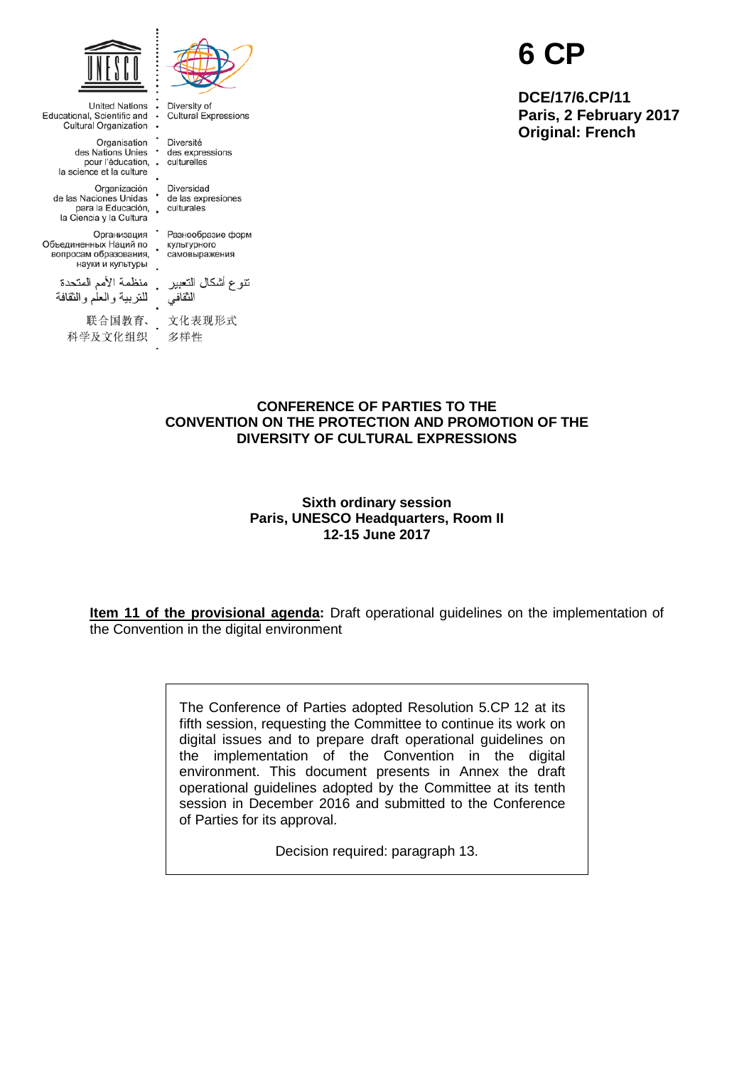

**United Nations** 

Organisation

Организация •

Educational, Scientific and<br>Cultural Organization

Diversity of Cultural Expressions

Diversité des Nations Unies<br>
des Nations Unies des expressions pour l'éducation, . culturelles la science et la culture

Organización Diversidad<br>de las Naciones Unidas de las expresiones para la Educación, culturales

> Разнообразие форм культурного самовыражения

науки и культуры منظمة الأمم المتحدة للنربية والعلم والنقافة

la Ciencia y la Cultura

Объединенных Наций по<br>вопросам образования,

联合国教育、 科学及文化组织

نتوع أشكال التعبير الثقافى

文化表现形式 多样性

# **6 CP**

**DCE/17/6.CP/11 Paris, 2 February 2017 Original: French**

## **CONFERENCE OF PARTIES TO THE CONVENTION ON THE PROTECTION AND PROMOTION OF THE DIVERSITY OF CULTURAL EXPRESSIONS**

**Sixth ordinary session Paris, UNESCO Headquarters, Room II 12-15 June 2017**

**Item 11 of the provisional agenda:** Draft operational guidelines on the implementation of the Convention in the digital environment

> The Conference of Parties adopted Resolution 5.CP 12 at its fifth session, requesting the Committee to continue its work on digital issues and to prepare draft operational guidelines on the implementation of the Convention in the digital environment. This document presents in Annex the draft operational guidelines adopted by the Committee at its tenth session in December 2016 and submitted to the Conference of Parties for its approval.

> > Decision required: paragraph 13.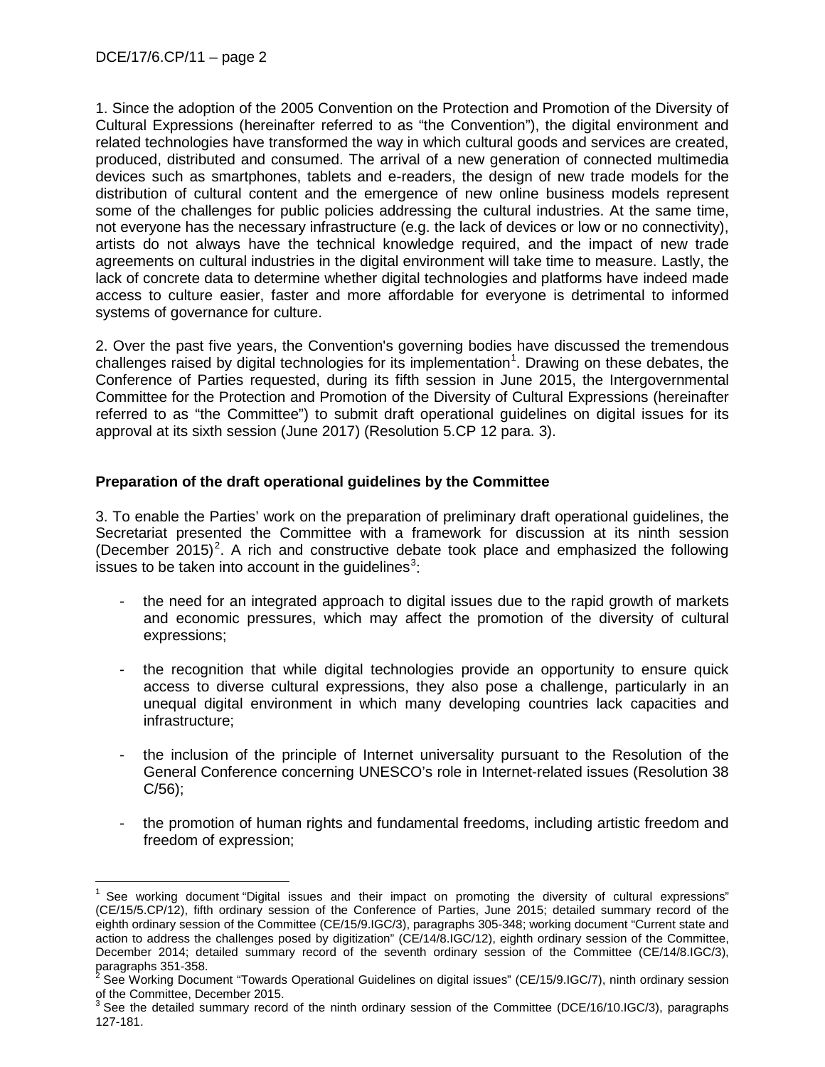1. Since the adoption of the 2005 Convention on the Protection and Promotion of the Diversity of Cultural Expressions (hereinafter referred to as "the Convention"), the digital environment and related technologies have transformed the way in which cultural goods and services are created, produced, distributed and consumed. The arrival of a new generation of connected multimedia devices such as smartphones, tablets and e-readers, the design of new trade models for the distribution of cultural content and the emergence of new online business models represent some of the challenges for public policies addressing the cultural industries. At the same time, not everyone has the necessary infrastructure (e.g. the lack of devices or low or no connectivity), artists do not always have the technical knowledge required, and the impact of new trade agreements on cultural industries in the digital environment will take time to measure. Lastly, the lack of concrete data to determine whether digital technologies and platforms have indeed made access to culture easier, faster and more affordable for everyone is detrimental to informed systems of governance for culture.

2. Over the past five years, the Convention's governing bodies have discussed the tremendous challenges raised by digital technologies for its implementation<sup>[1](#page-1-0)</sup>. Drawing on these debates, the Conference of Parties requested, during its fifth session in June 2015, the Intergovernmental Committee for the Protection and Promotion of the Diversity of Cultural Expressions (hereinafter referred to as "the Committee") to submit draft operational guidelines on digital issues for its approval at its sixth session (June 2017) (Resolution 5.CP 12 para. 3).

# **Preparation of the draft operational guidelines by the Committee**

3. To enable the Parties' work on the preparation of preliminary draft operational guidelines, the Secretariat presented the Committee with a framework for discussion at its ninth session (December [2](#page-1-1)015)<sup>2</sup>. A rich and constructive debate took place and emphasized the following issues to be taken into account in the guidelines<sup>[3](#page-1-2)</sup>:

- the need for an integrated approach to digital issues due to the rapid growth of markets and economic pressures, which may affect the promotion of the diversity of cultural expressions;
- the recognition that while digital technologies provide an opportunity to ensure quick access to diverse cultural expressions, they also pose a challenge, particularly in an unequal digital environment in which many developing countries lack capacities and infrastructure;
- the inclusion of the principle of Internet universality pursuant to the Resolution of the General Conference concerning UNESCO's role in Internet-related issues (Resolution 38 C/56);
- the promotion of human rights and fundamental freedoms, including artistic freedom and freedom of expression;

<span id="page-1-0"></span>See working document "Digital issues and their impact on promoting the diversity of cultural expressions" (CE/15/5.CP/12), fifth ordinary session of the Conference of Parties, June 2015; detailed summary record of the eighth ordinary session of the Committee (CE/15/9.IGC/3), paragraphs 305-348; working document "Current state and action to address the challenges posed by digitization" (CE/14/8.IGC/12), eighth ordinary session of the Committee, December 2014; detailed summary record of the seventh ordinary session of the Committee (CE/14/8.IGC/3), paragraphs 351-358.

<span id="page-1-1"></span>See Working Document "Towards Operational Guidelines on digital issues" (CE/15/9.IGC/7), ninth ordinary session of the Committee, December 2015.

<span id="page-1-2"></span> $3$  See the detailed summary record of the ninth ordinary session of the Committee (DCE/16/10.IGC/3), paragraphs 127-181.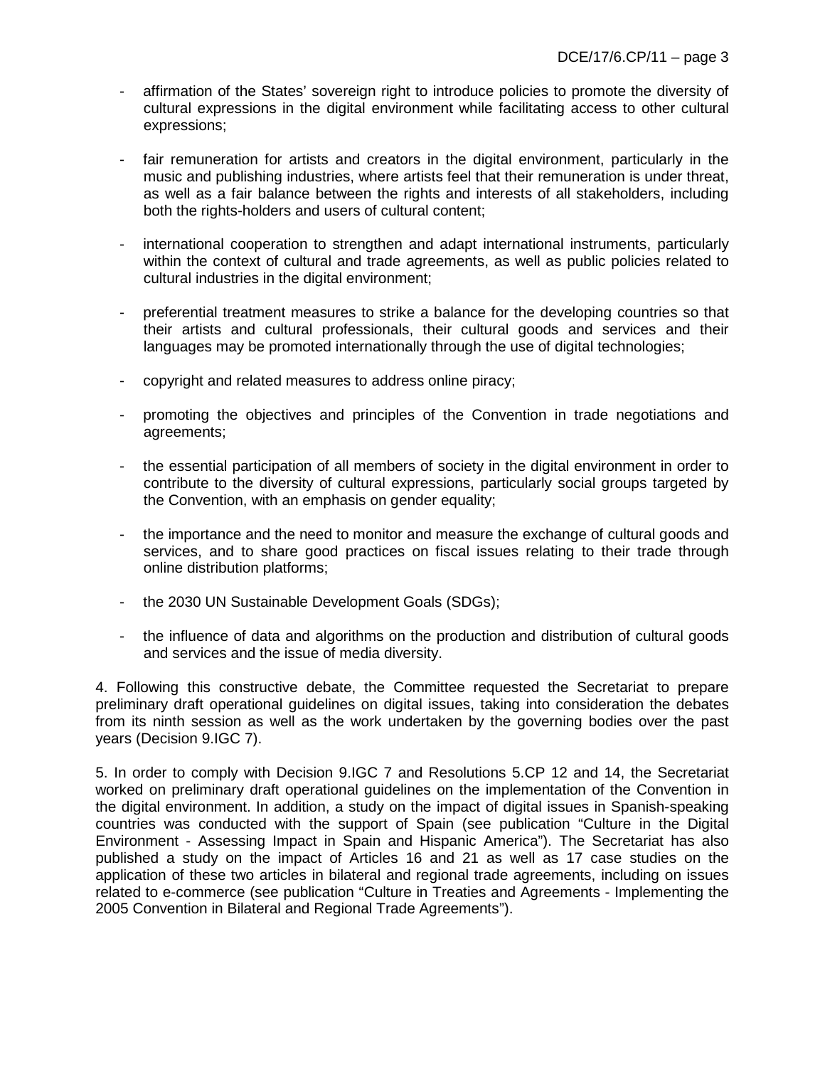- affirmation of the States' sovereign right to introduce policies to promote the diversity of cultural expressions in the digital environment while facilitating access to other cultural expressions;
- fair remuneration for artists and creators in the digital environment, particularly in the music and publishing industries, where artists feel that their remuneration is under threat, as well as a fair balance between the rights and interests of all stakeholders, including both the rights-holders and users of cultural content:
- international cooperation to strengthen and adapt international instruments, particularly within the context of cultural and trade agreements, as well as public policies related to cultural industries in the digital environment;
- preferential treatment measures to strike a balance for the developing countries so that their artists and cultural professionals, their cultural goods and services and their languages may be promoted internationally through the use of digital technologies;
- copyright and related measures to address online piracy;
- promoting the objectives and principles of the Convention in trade negotiations and agreements;
- the essential participation of all members of society in the digital environment in order to contribute to the diversity of cultural expressions, particularly social groups targeted by the Convention, with an emphasis on gender equality;
- the importance and the need to monitor and measure the exchange of cultural goods and services, and to share good practices on fiscal issues relating to their trade through online distribution platforms;
- the 2030 UN Sustainable Development Goals (SDGs);
- the influence of data and algorithms on the production and distribution of cultural goods and services and the issue of media diversity.

4. Following this constructive debate, the Committee requested the Secretariat to prepare preliminary draft operational guidelines on digital issues, taking into consideration the debates from its ninth session as well as the work undertaken by the governing bodies over the past years (Decision 9.IGC 7).

5. In order to comply with Decision 9.IGC 7 and Resolutions 5.CP 12 and 14, the Secretariat worked on preliminary draft operational guidelines on the implementation of the Convention in the digital environment. In addition, a study on the impact of digital issues in Spanish-speaking countries was conducted with the support of Spain (see publication "Culture in the Digital Environment - Assessing Impact in Spain and Hispanic America"). The Secretariat has also published a study on the impact of Articles 16 and 21 as well as 17 case studies on the application of these two articles in bilateral and regional trade agreements, including on issues related to e-commerce (see publication "Culture in Treaties and Agreements - Implementing the 2005 Convention in Bilateral and Regional Trade Agreements").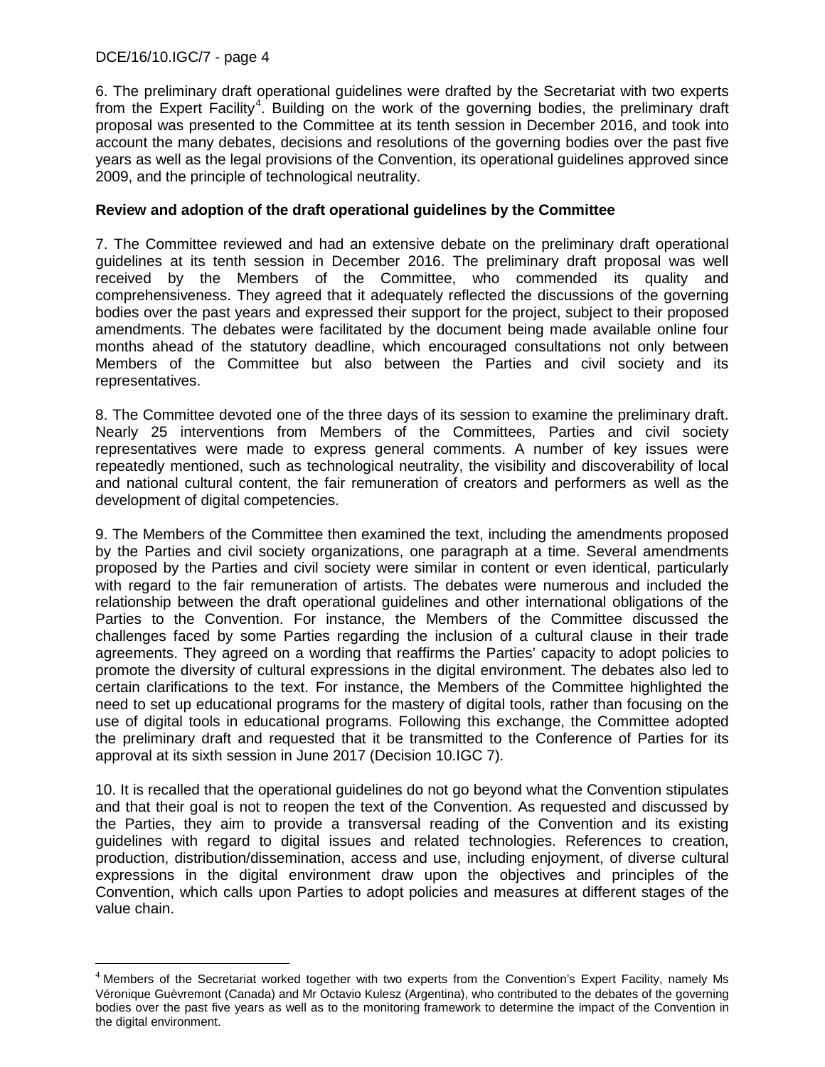## DCE/16/10.IGC/7 - page 4

6. The preliminary draft operational guidelines were drafted by the Secretariat with two experts from the Expert Facility<sup>[4](#page-3-0)</sup>. Building on the work of the governing bodies, the preliminary draft proposal was presented to the Committee at its tenth session in December 2016, and took into account the many debates, decisions and resolutions of the governing bodies over the past five years as well as the legal provisions of the Convention, its operational guidelines approved since 2009, and the principle of technological neutrality.

## **Review and adoption of the draft operational guidelines by the Committee**

7. The Committee reviewed and had an extensive debate on the preliminary draft operational guidelines at its tenth session in December 2016. The preliminary draft proposal was well received by the Members of the Committee, who commended its quality and comprehensiveness. They agreed that it adequately reflected the discussions of the governing bodies over the past years and expressed their support for the project, subject to their proposed amendments. The debates were facilitated by the document being made available online four months ahead of the statutory deadline, which encouraged consultations not only between Members of the Committee but also between the Parties and civil society and its representatives.

8. The Committee devoted one of the three days of its session to examine the preliminary draft. Nearly 25 interventions from Members of the Committees, Parties and civil society representatives were made to express general comments. A number of key issues were repeatedly mentioned, such as technological neutrality, the visibility and discoverability of local and national cultural content, the fair remuneration of creators and performers as well as the development of digital competencies.

9. The Members of the Committee then examined the text, including the amendments proposed by the Parties and civil society organizations, one paragraph at a time. Several amendments proposed by the Parties and civil society were similar in content or even identical, particularly with regard to the fair remuneration of artists. The debates were numerous and included the relationship between the draft operational guidelines and other international obligations of the Parties to the Convention. For instance, the Members of the Committee discussed the challenges faced by some Parties regarding the inclusion of a cultural clause in their trade agreements. They agreed on a wording that reaffirms the Parties' capacity to adopt policies to promote the diversity of cultural expressions in the digital environment. The debates also led to certain clarifications to the text. For instance, the Members of the Committee highlighted the need to set up educational programs for the mastery of digital tools, rather than focusing on the use of digital tools in educational programs. Following this exchange, the Committee adopted the preliminary draft and requested that it be transmitted to the Conference of Parties for its approval at its sixth session in June 2017 (Decision 10.IGC 7).

10. It is recalled that the operational guidelines do not go beyond what the Convention stipulates and that their goal is not to reopen the text of the Convention. As requested and discussed by the Parties, they aim to provide a transversal reading of the Convention and its existing guidelines with regard to digital issues and related technologies. References to creation, production, distribution/dissemination, access and use, including enjoyment, of diverse cultural expressions in the digital environment draw upon the objectives and principles of the Convention, which calls upon Parties to adopt policies and measures at different stages of the value chain.

<span id="page-3-0"></span> $4$  Members of the Secretariat worked together with two experts from the Convention's Expert Facility, namely Ms Véronique Guèvremont (Canada) and Mr Octavio Kulesz (Argentina), who contributed to the debates of the governing bodies over the past five years as well as to the monitoring framework to determine the impact of the Convention in the digital environment.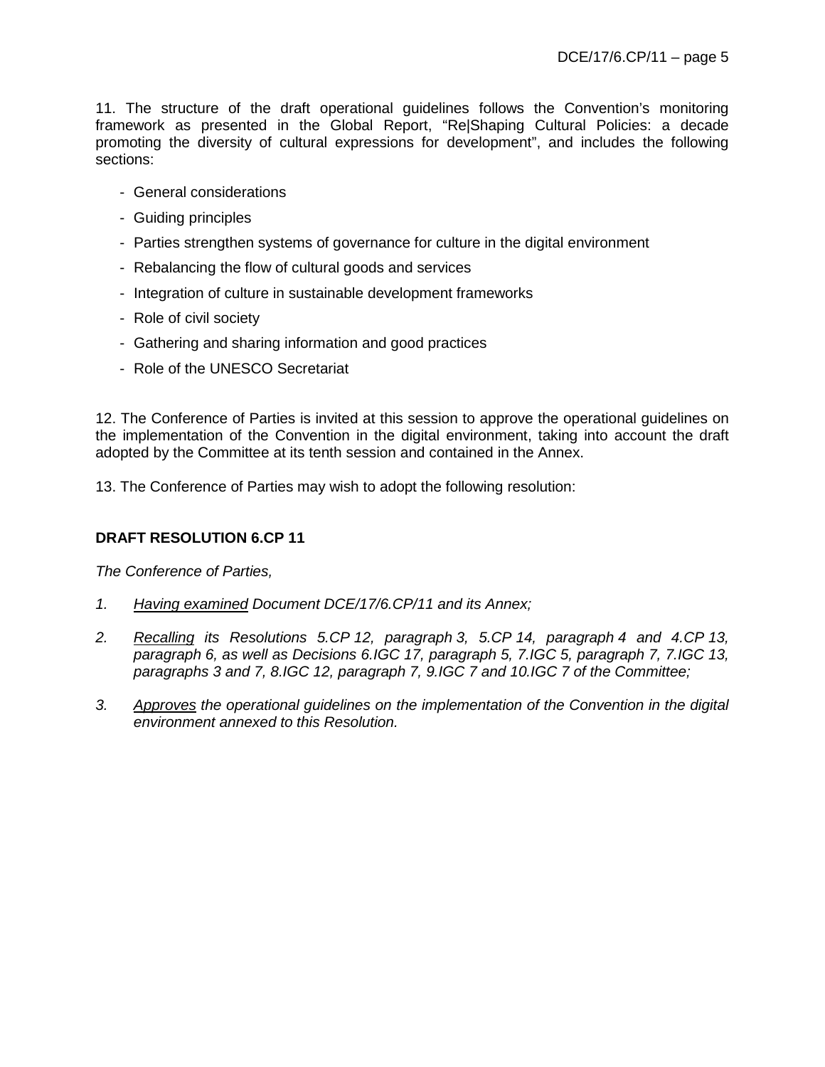11. The structure of the draft operational guidelines follows the Convention's monitoring framework as presented in the Global Report, "Re|Shaping Cultural Policies: a decade promoting the diversity of cultural expressions for development", and includes the following sections:

- General considerations
- Guiding principles
- Parties strengthen systems of governance for culture in the digital environment
- Rebalancing the flow of cultural goods and services
- Integration of culture in sustainable development frameworks
- Role of civil society
- Gathering and sharing information and good practices
- Role of the UNESCO Secretariat

12. The Conference of Parties is invited at this session to approve the operational guidelines on the implementation of the Convention in the digital environment, taking into account the draft adopted by the Committee at its tenth session and contained in the Annex.

13. The Conference of Parties may wish to adopt the following resolution:

# **DRAFT RESOLUTION 6.CP 11**

*The Conference of Parties,* 

- *1. Having examined Document DCE/17/6.CP/11 and its Annex;*
- *2. Recalling its Resolutions 5.CP 12, paragraph 3, 5.CP 14, paragraph 4 and 4.CP 13, paragraph 6, as well as Decisions 6.IGC 17, paragraph 5, 7.IGC 5, paragraph 7, 7.IGC 13, paragraphs 3 and 7, 8.IGC 12, paragraph 7, 9.IGC 7 and 10.IGC 7 of the Committee;*
- *3. Approves the operational guidelines on the implementation of the Convention in the digital environment annexed to this Resolution.*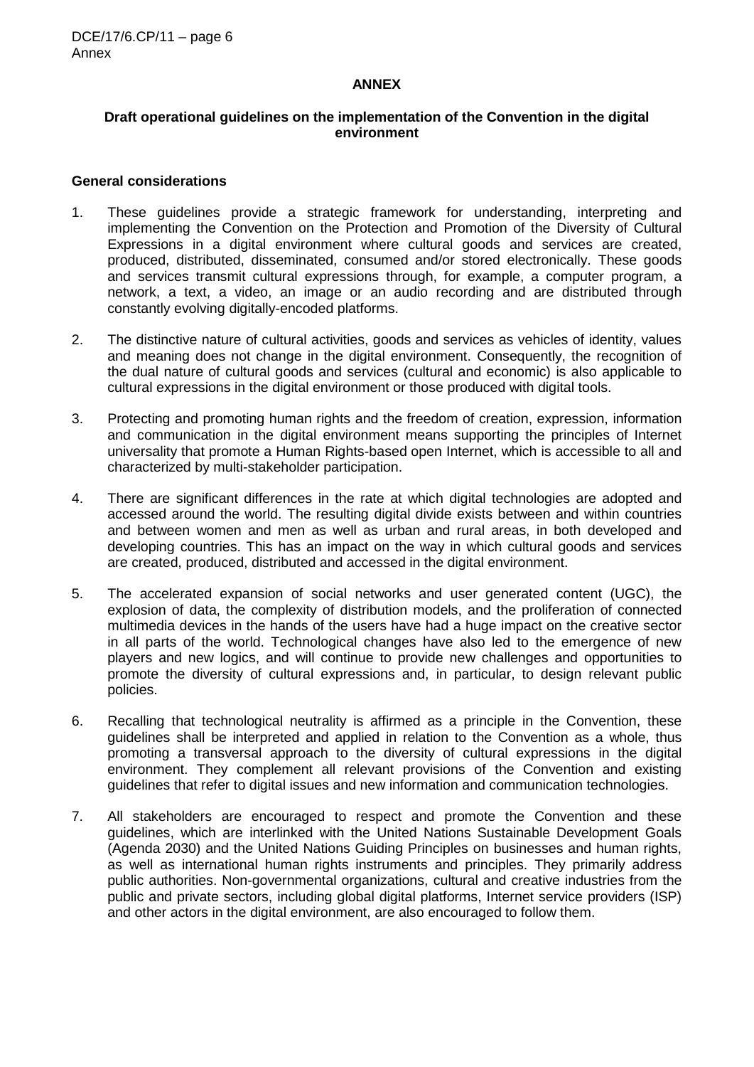#### **ANNEX**

## **Draft operational guidelines on the implementation of the Convention in the digital environment**

#### **General considerations**

- 1. These guidelines provide a strategic framework for understanding, interpreting and implementing the Convention on the Protection and Promotion of the Diversity of Cultural Expressions in a digital environment where cultural goods and services are created, produced, distributed, disseminated, consumed and/or stored electronically. These goods and services transmit cultural expressions through, for example, a computer program, a network, a text, a video, an image or an audio recording and are distributed through constantly evolving digitally-encoded platforms.
- 2. The distinctive nature of cultural activities, goods and services as vehicles of identity, values and meaning does not change in the digital environment. Consequently, the recognition of the dual nature of cultural goods and services (cultural and economic) is also applicable to cultural expressions in the digital environment or those produced with digital tools.
- 3. Protecting and promoting human rights and the freedom of creation, expression, information and communication in the digital environment means supporting the principles of Internet universality that promote a Human Rights-based open Internet, which is accessible to all and characterized by multi-stakeholder participation.
- 4. There are significant differences in the rate at which digital technologies are adopted and accessed around the world. The resulting digital divide exists between and within countries and between women and men as well as urban and rural areas, in both developed and developing countries. This has an impact on the way in which cultural goods and services are created, produced, distributed and accessed in the digital environment.
- 5. The accelerated expansion of social networks and user generated content (UGC), the explosion of data, the complexity of distribution models, and the proliferation of connected multimedia devices in the hands of the users have had a huge impact on the creative sector in all parts of the world. Technological changes have also led to the emergence of new players and new logics, and will continue to provide new challenges and opportunities to promote the diversity of cultural expressions and, in particular, to design relevant public policies.
- 6. Recalling that technological neutrality is affirmed as a principle in the Convention, these guidelines shall be interpreted and applied in relation to the Convention as a whole, thus promoting a transversal approach to the diversity of cultural expressions in the digital environment. They complement all relevant provisions of the Convention and existing guidelines that refer to digital issues and new information and communication technologies.
- 7. All stakeholders are encouraged to respect and promote the Convention and these guidelines, which are interlinked with the United Nations Sustainable Development Goals (Agenda 2030) and the United Nations Guiding Principles on businesses and human rights, as well as international human rights instruments and principles. They primarily address public authorities. Non-governmental organizations, cultural and creative industries from the public and private sectors, including global digital platforms, Internet service providers (ISP) and other actors in the digital environment, are also encouraged to follow them.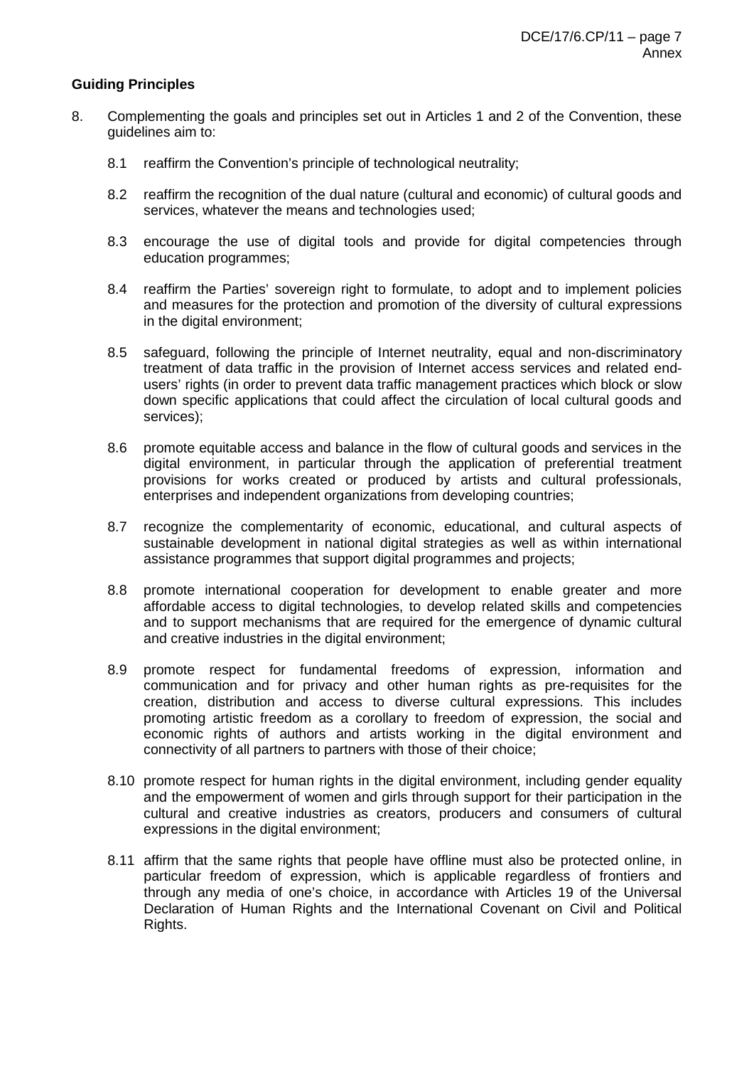## **Guiding Principles**

- 8. Complementing the goals and principles set out in Articles 1 and 2 of the Convention, these guidelines aim to:
	- 8.1 reaffirm the Convention's principle of technological neutrality;
	- 8.2 reaffirm the recognition of the dual nature (cultural and economic) of cultural goods and services, whatever the means and technologies used;
	- 8.3 encourage the use of digital tools and provide for digital competencies through education programmes;
	- 8.4 reaffirm the Parties' sovereign right to formulate, to adopt and to implement policies and measures for the protection and promotion of the diversity of cultural expressions in the digital environment;
	- 8.5 safeguard, following the principle of Internet neutrality, equal and non-discriminatory treatment of data traffic in the provision of Internet access services and related endusers' rights (in order to prevent data traffic management practices which block or slow down specific applications that could affect the circulation of local cultural goods and services);
	- 8.6 promote equitable access and balance in the flow of cultural goods and services in the digital environment, in particular through the application of preferential treatment provisions for works created or produced by artists and cultural professionals, enterprises and independent organizations from developing countries;
	- 8.7 recognize the complementarity of economic, educational, and cultural aspects of sustainable development in national digital strategies as well as within international assistance programmes that support digital programmes and projects;
	- 8.8 promote international cooperation for development to enable greater and more affordable access to digital technologies, to develop related skills and competencies and to support mechanisms that are required for the emergence of dynamic cultural and creative industries in the digital environment;
	- 8.9 promote respect for fundamental freedoms of expression, information and communication and for privacy and other human rights as pre-requisites for the creation, distribution and access to diverse cultural expressions. This includes promoting artistic freedom as a corollary to freedom of expression, the social and economic rights of authors and artists working in the digital environment and connectivity of all partners to partners with those of their choice;
	- 8.10 promote respect for human rights in the digital environment, including gender equality and the empowerment of women and girls through support for their participation in the cultural and creative industries as creators, producers and consumers of cultural expressions in the digital environment;
	- 8.11 affirm that the same rights that people have offline must also be protected online, in particular freedom of expression, which is applicable regardless of frontiers and through any media of one's choice, in accordance with Articles 19 of the Universal Declaration of Human Rights and the International Covenant on Civil and Political Rights.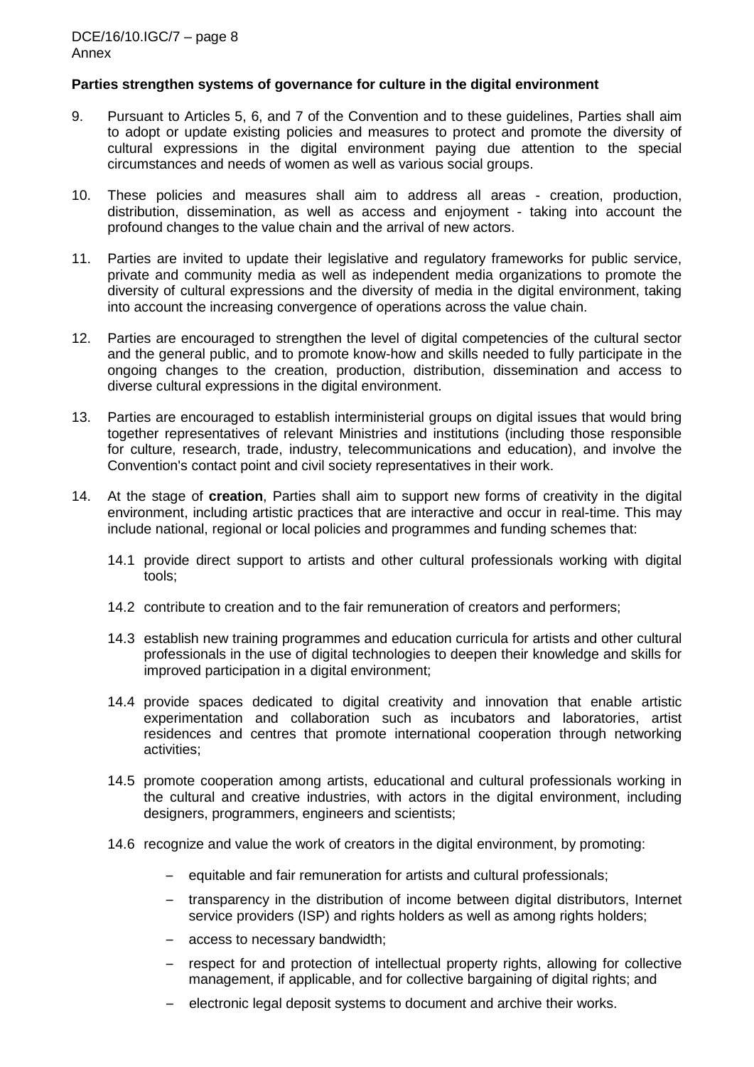## **Parties strengthen systems of governance for culture in the digital environment**

- 9. Pursuant to Articles 5, 6, and 7 of the Convention and to these guidelines, Parties shall aim to adopt or update existing policies and measures to protect and promote the diversity of cultural expressions in the digital environment paying due attention to the special circumstances and needs of women as well as various social groups.
- 10. These policies and measures shall aim to address all areas creation, production, distribution, dissemination, as well as access and enjoyment - taking into account the profound changes to the value chain and the arrival of new actors.
- 11. Parties are invited to update their legislative and regulatory frameworks for public service, private and community media as well as independent media organizations to promote the diversity of cultural expressions and the diversity of media in the digital environment, taking into account the increasing convergence of operations across the value chain.
- 12. Parties are encouraged to strengthen the level of digital competencies of the cultural sector and the general public, and to promote know-how and skills needed to fully participate in the ongoing changes to the creation, production, distribution, dissemination and access to diverse cultural expressions in the digital environment.
- 13. Parties are encouraged to establish interministerial groups on digital issues that would bring together representatives of relevant Ministries and institutions (including those responsible for culture, research, trade, industry, telecommunications and education), and involve the Convention's contact point and civil society representatives in their work.
- 14. At the stage of **creation**, Parties shall aim to support new forms of creativity in the digital environment, including artistic practices that are interactive and occur in real-time. This may include national, regional or local policies and programmes and funding schemes that:
	- 14.1 provide direct support to artists and other cultural professionals working with digital tools;
	- 14.2 contribute to creation and to the fair remuneration of creators and performers;
	- 14.3 establish new training programmes and education curricula for artists and other cultural professionals in the use of digital technologies to deepen their knowledge and skills for improved participation in a digital environment;
	- 14.4 provide spaces dedicated to digital creativity and innovation that enable artistic experimentation and collaboration such as incubators and laboratories, artist residences and centres that promote international cooperation through networking activities;
	- 14.5 promote cooperation among artists, educational and cultural professionals working in the cultural and creative industries, with actors in the digital environment, including designers, programmers, engineers and scientists;
	- 14.6 recognize and value the work of creators in the digital environment, by promoting:
		- equitable and fair remuneration for artists and cultural professionals;
		- transparency in the distribution of income between digital distributors, Internet service providers (ISP) and rights holders as well as among rights holders;
		- access to necessary bandwidth;
		- respect for and protection of intellectual property rights, allowing for collective management, if applicable, and for collective bargaining of digital rights; and
		- electronic legal deposit systems to document and archive their works.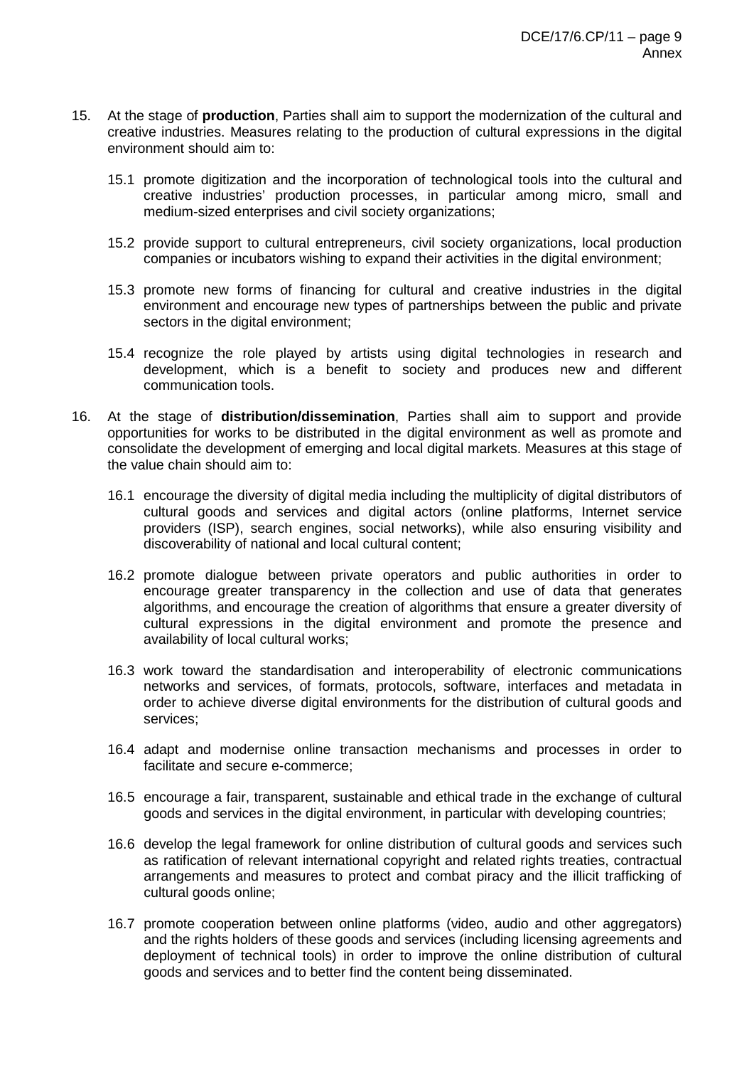- 15. At the stage of **production**, Parties shall aim to support the modernization of the cultural and creative industries. Measures relating to the production of cultural expressions in the digital environment should aim to:
	- 15.1 promote digitization and the incorporation of technological tools into the cultural and creative industries' production processes, in particular among micro, small and medium-sized enterprises and civil society organizations;
	- 15.2 provide support to cultural entrepreneurs, civil society organizations, local production companies or incubators wishing to expand their activities in the digital environment;
	- 15.3 promote new forms of financing for cultural and creative industries in the digital environment and encourage new types of partnerships between the public and private sectors in the digital environment;
	- 15.4 recognize the role played by artists using digital technologies in research and development, which is a benefit to society and produces new and different communication tools.
- 16. At the stage of **distribution/dissemination**, Parties shall aim to support and provide opportunities for works to be distributed in the digital environment as well as promote and consolidate the development of emerging and local digital markets. Measures at this stage of the value chain should aim to:
	- 16.1 encourage the diversity of digital media including the multiplicity of digital distributors of cultural goods and services and digital actors (online platforms, Internet service providers (ISP), search engines, social networks), while also ensuring visibility and discoverability of national and local cultural content;
	- 16.2 promote dialogue between private operators and public authorities in order to encourage greater transparency in the collection and use of data that generates algorithms, and encourage the creation of algorithms that ensure a greater diversity of cultural expressions in the digital environment and promote the presence and availability of local cultural works;
	- 16.3 work toward the standardisation and interoperability of electronic communications networks and services, of formats, protocols, software, interfaces and metadata in order to achieve diverse digital environments for the distribution of cultural goods and services;
	- 16.4 adapt and modernise online transaction mechanisms and processes in order to facilitate and secure e-commerce;
	- 16.5 encourage a fair, transparent, sustainable and ethical trade in the exchange of cultural goods and services in the digital environment, in particular with developing countries;
	- 16.6 develop the legal framework for online distribution of cultural goods and services such as ratification of relevant international copyright and related rights treaties, contractual arrangements and measures to protect and combat piracy and the illicit trafficking of cultural goods online;
	- 16.7 promote cooperation between online platforms (video, audio and other aggregators) and the rights holders of these goods and services (including licensing agreements and deployment of technical tools) in order to improve the online distribution of cultural goods and services and to better find the content being disseminated.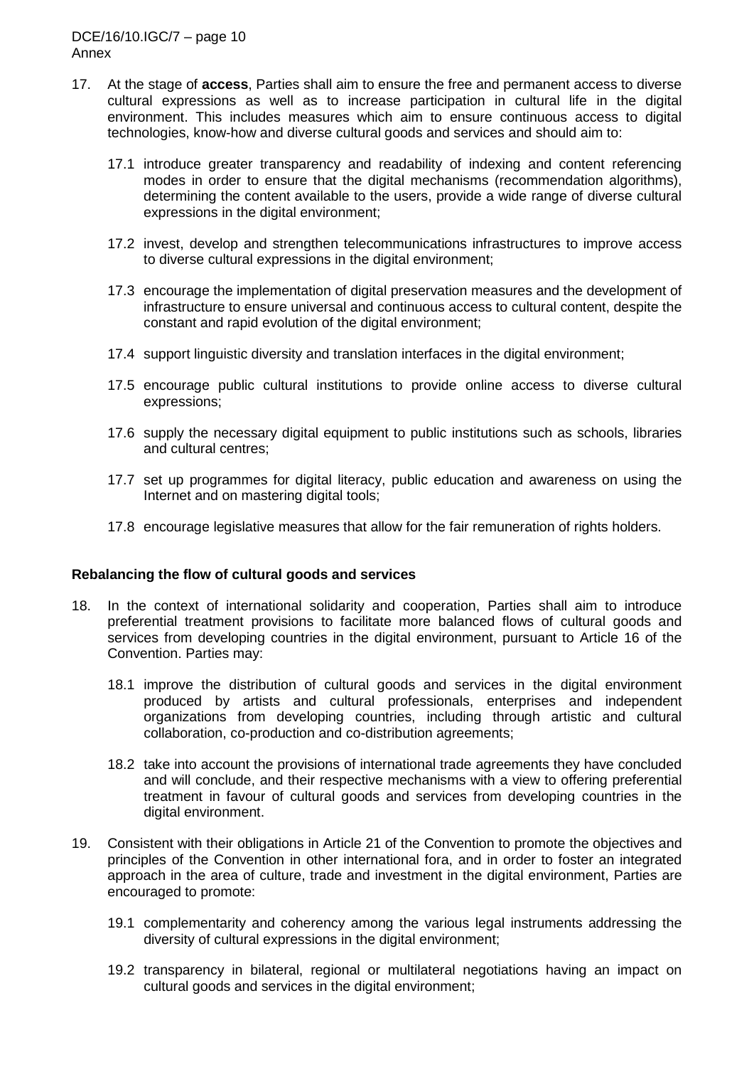- 17. At the stage of **access**, Parties shall aim to ensure the free and permanent access to diverse cultural expressions as well as to increase participation in cultural life in the digital environment. This includes measures which aim to ensure continuous access to digital technologies, know-how and diverse cultural goods and services and should aim to:
	- 17.1 introduce greater transparency and readability of indexing and content referencing modes in order to ensure that the digital mechanisms (recommendation algorithms), determining the content available to the users, provide a wide range of diverse cultural expressions in the digital environment;
	- 17.2 invest, develop and strengthen telecommunications infrastructures to improve access to diverse cultural expressions in the digital environment;
	- 17.3 encourage the implementation of digital preservation measures and the development of infrastructure to ensure universal and continuous access to cultural content, despite the constant and rapid evolution of the digital environment;
	- 17.4 support linguistic diversity and translation interfaces in the digital environment;
	- 17.5 encourage public cultural institutions to provide online access to diverse cultural expressions;
	- 17.6 supply the necessary digital equipment to public institutions such as schools, libraries and cultural centres;
	- 17.7 set up programmes for digital literacy, public education and awareness on using the Internet and on mastering digital tools;
	- 17.8 encourage legislative measures that allow for the fair remuneration of rights holders.

#### **Rebalancing the flow of cultural goods and services**

- 18. In the context of international solidarity and cooperation, Parties shall aim to introduce preferential treatment provisions to facilitate more balanced flows of cultural goods and services from developing countries in the digital environment, pursuant to Article 16 of the Convention. Parties may:
	- 18.1 improve the distribution of cultural goods and services in the digital environment produced by artists and cultural professionals, enterprises and independent organizations from developing countries, including through artistic and cultural collaboration, co-production and co-distribution agreements;
	- 18.2 take into account the provisions of international trade agreements they have concluded and will conclude, and their respective mechanisms with a view to offering preferential treatment in favour of cultural goods and services from developing countries in the digital environment.
- 19. Consistent with their obligations in Article 21 of the Convention to promote the objectives and principles of the Convention in other international fora, and in order to foster an integrated approach in the area of culture, trade and investment in the digital environment, Parties are encouraged to promote:
	- 19.1 complementarity and coherency among the various legal instruments addressing the diversity of cultural expressions in the digital environment;
	- 19.2 transparency in bilateral, regional or multilateral negotiations having an impact on cultural goods and services in the digital environment;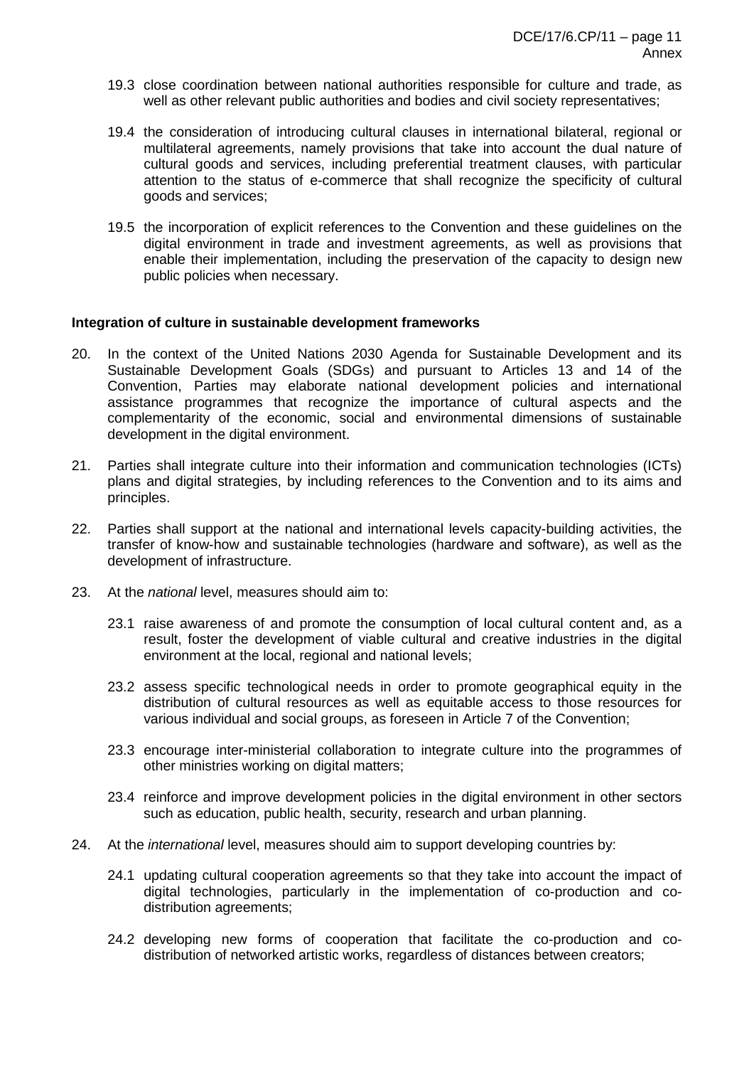- 19.3 close coordination between national authorities responsible for culture and trade, as well as other relevant public authorities and bodies and civil society representatives;
- 19.4 the consideration of introducing cultural clauses in international bilateral, regional or multilateral agreements, namely provisions that take into account the dual nature of cultural goods and services, including preferential treatment clauses, with particular attention to the status of e-commerce that shall recognize the specificity of cultural goods and services;
- 19.5 the incorporation of explicit references to the Convention and these guidelines on the digital environment in trade and investment agreements, as well as provisions that enable their implementation, including the preservation of the capacity to design new public policies when necessary.

#### **Integration of culture in sustainable development frameworks**

- 20. In the context of the United Nations 2030 Agenda for Sustainable Development and its Sustainable Development Goals (SDGs) and pursuant to Articles 13 and 14 of the Convention, Parties may elaborate national development policies and international assistance programmes that recognize the importance of cultural aspects and the complementarity of the economic, social and environmental dimensions of sustainable development in the digital environment.
- 21. Parties shall integrate culture into their information and communication technologies (ICTs) plans and digital strategies, by including references to the Convention and to its aims and principles.
- 22. Parties shall support at the national and international levels capacity-building activities, the transfer of know-how and sustainable technologies (hardware and software), as well as the development of infrastructure.
- 23. At the *national* level, measures should aim to:
	- 23.1 raise awareness of and promote the consumption of local cultural content and, as a result, foster the development of viable cultural and creative industries in the digital environment at the local, regional and national levels;
	- 23.2 assess specific technological needs in order to promote geographical equity in the distribution of cultural resources as well as equitable access to those resources for various individual and social groups, as foreseen in Article 7 of the Convention;
	- 23.3 encourage inter-ministerial collaboration to integrate culture into the programmes of other ministries working on digital matters;
	- 23.4 reinforce and improve development policies in the digital environment in other sectors such as education, public health, security, research and urban planning.
- 24. At the *international* level, measures should aim to support developing countries by:
	- 24.1 updating cultural cooperation agreements so that they take into account the impact of digital technologies, particularly in the implementation of co-production and codistribution agreements;
	- 24.2 developing new forms of cooperation that facilitate the co-production and codistribution of networked artistic works, regardless of distances between creators;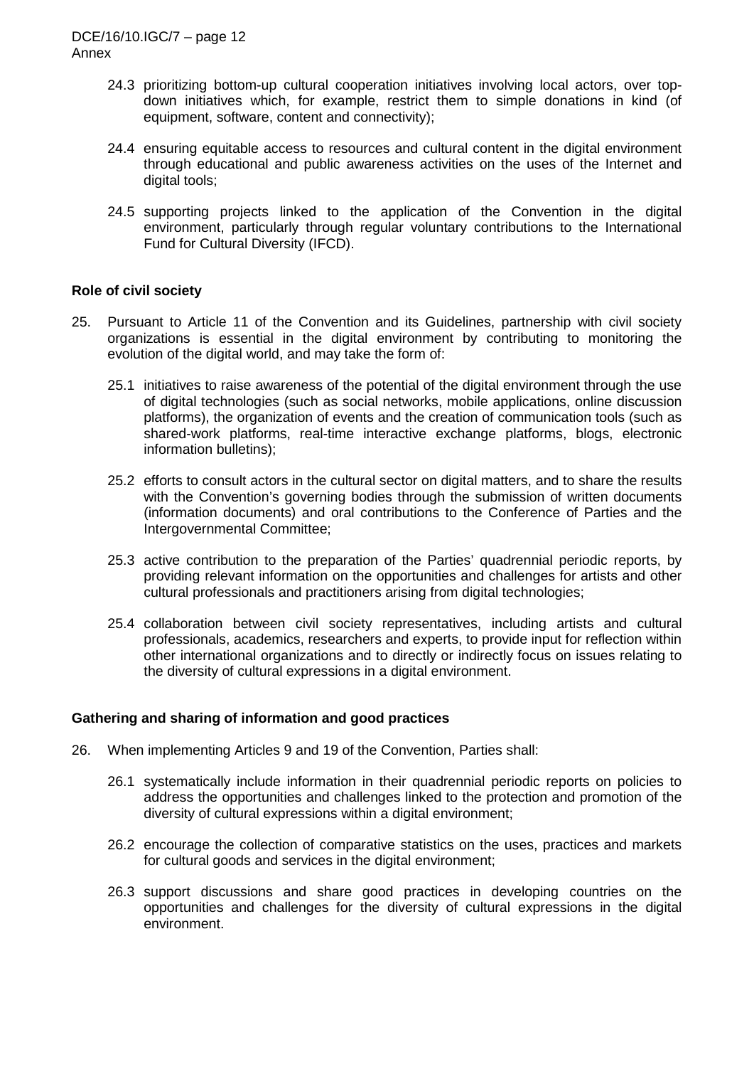- 24.3 prioritizing bottom-up cultural cooperation initiatives involving local actors, over topdown initiatives which, for example, restrict them to simple donations in kind (of equipment, software, content and connectivity);
- 24.4 ensuring equitable access to resources and cultural content in the digital environment through educational and public awareness activities on the uses of the Internet and digital tools;
- 24.5 supporting projects linked to the application of the Convention in the digital environment, particularly through regular voluntary contributions to the International Fund for Cultural Diversity (IFCD).

# **Role of civil society**

- 25. Pursuant to Article 11 of the Convention and its Guidelines, partnership with civil society organizations is essential in the digital environment by contributing to monitoring the evolution of the digital world, and may take the form of:
	- 25.1 initiatives to raise awareness of the potential of the digital environment through the use of digital technologies (such as social networks, mobile applications, online discussion platforms), the organization of events and the creation of communication tools (such as shared-work platforms, real-time interactive exchange platforms, blogs, electronic information bulletins);
	- 25.2 efforts to consult actors in the cultural sector on digital matters, and to share the results with the Convention's governing bodies through the submission of written documents (information documents) and oral contributions to the Conference of Parties and the Intergovernmental Committee;
	- 25.3 active contribution to the preparation of the Parties' quadrennial periodic reports, by providing relevant information on the opportunities and challenges for artists and other cultural professionals and practitioners arising from digital technologies;
	- 25.4 collaboration between civil society representatives, including artists and cultural professionals, academics, researchers and experts, to provide input for reflection within other international organizations and to directly or indirectly focus on issues relating to the diversity of cultural expressions in a digital environment.

#### **Gathering and sharing of information and good practices**

- 26. When implementing Articles 9 and 19 of the Convention, Parties shall:
	- 26.1 systematically include information in their quadrennial periodic reports on policies to address the opportunities and challenges linked to the protection and promotion of the diversity of cultural expressions within a digital environment;
	- 26.2 encourage the collection of comparative statistics on the uses, practices and markets for cultural goods and services in the digital environment;
	- 26.3 support discussions and share good practices in developing countries on the opportunities and challenges for the diversity of cultural expressions in the digital environment.